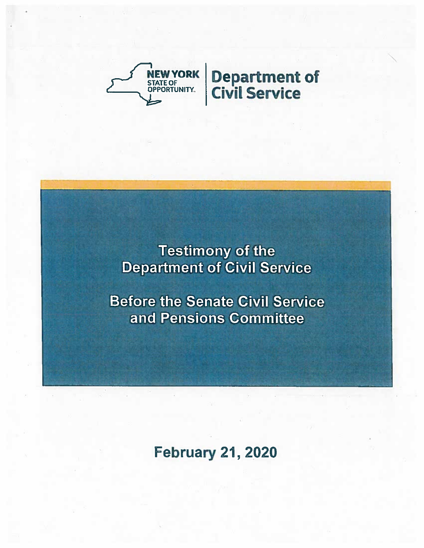

Testimony of the **Department of Civil Service** 

**Before the Senate Civil Service** and Pensions Committee

## February 21, 2020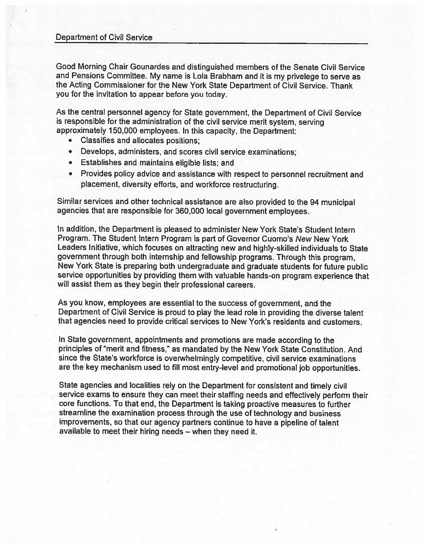## Department of Civil Service

Good Morning Chair Gounardes and distinguished members of the Senate Civil Service and Pensions Committee. My name is Lola Brabham and it is my privelege to serve as the Acting Commissioner for the New York State Department of Civil Service. Thank you for the invitation to appear before you today.

As the central personnel agency for State government, the Department of Civil Service is responsible for the administration of the civil service merit system, serving approximately 150,000 employees. In this capacity, the Department:

- •Classifies and allocates positions;
- •Develops, administers, and scores civil service examinations;
- Establishes and maintains eligible lists; and
- • Provides policy advice and assistance with respect to personnel recruitment and <sup>p</sup>lacement, diversity efforts, and workforce restructuring.

Similar services and other technical assistance are also provided to the <sup>94</sup> municipal agencies that are responsible for 360,000 local government employees.

In addition, the Department is pleased to administer New York State's Student Intern Program. The Student Intern Program is part of Governor Cuomo's New New York Leaders Initiative, which focuses on attracting new and highly-skilled individuals to State government through both internship and fellowship programs. Through this program, New York State is preparing both undergraduate and graduate students for future public service opportunities by providing them with valuable hands-on program experience that will assist them as they begin their professional careers.

As you know, employees are essential to the success of government, and the Department of Civil Service is proud to <sup>p</sup>lay the lead role in providing the diverse talent that agencies need to provide critical services to New York's residents and customers.

In State government, appointments and promotions are made according to the principles of "merit and fitness," as mandated by the New York State Constitution. And since the State's workforce is overwhelmingly competitive, civil service examinations are the key mechanism used to fill most entry-level and promotional job opportunities.

State agencies and localities rely on the Department for consistent and timely civil service exams to ensure they can meet their staffing needs and effectively perform their core functions. To that end, the Department is taking proactive measures to further streamline the examination process through the use of technology and business improvements, so that our agency partners continue to have <sup>a</sup> <sup>p</sup>ipeline of talent available to meet their hiring needs — when they need it.